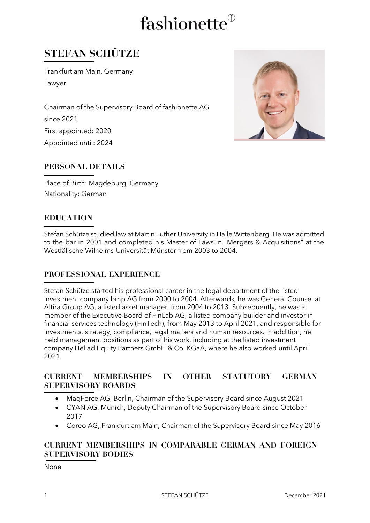# fashionette®

### **STEFAN SCHÜTZE**

Frankfurt am Main, Germany Lawyer

Chairman of the Supervisory Board of fashionette AG since 2021 First appointed: 2020 Appointed until: 2024



#### **PERSONAL DETAILS**

Place of Birth: Magdeburg, Germany Nationality: German

#### **EDUCATION**

Stefan Schütze studied law at Martin Luther University in Halle Wittenberg. He was admitted to the bar in 2001 and completed his Master of Laws in "Mergers & Acquisitions" at the Westfälische Wilhelms-Universität Münster from 2003 to 2004.

#### **PROFESSIONAL EXPERIENCE**

Stefan Schütze started his professional career in the legal department of the listed investment company bmp AG from 2000 to 2004. Afterwards, he was General Counsel at Altira Group AG, a listed asset manager, from 2004 to 2013. Subsequently, he was a member of the Executive Board of FinLab AG, a listed company builder and investor in financial services technology (FinTech), from May 2013 to April 2021, and responsible for investments, strategy, compliance, legal matters and human resources. In addition, he held management positions as part of his work, including at the listed investment company Heliad Equity Partners GmbH & Co. KGaA, where he also worked until April 2021.

#### **CURRENT MEMBERSHIPS IN OTHER STATUTORY GERMAN SUPERVISORY BOARDS**

- MagForce AG, Berlin, Chairman of the Supervisory Board since August 2021
- CYAN AG, Munich, Deputy Chairman of the Supervisory Board since October 2017
- Coreo AG, Frankfurt am Main, Chairman of the Supervisory Board since May 2016

#### **CURRENT MEMBERSHIPS IN COMPARABLE GERMAN AND FOREIGN SUPERVISORY BODIES**

None